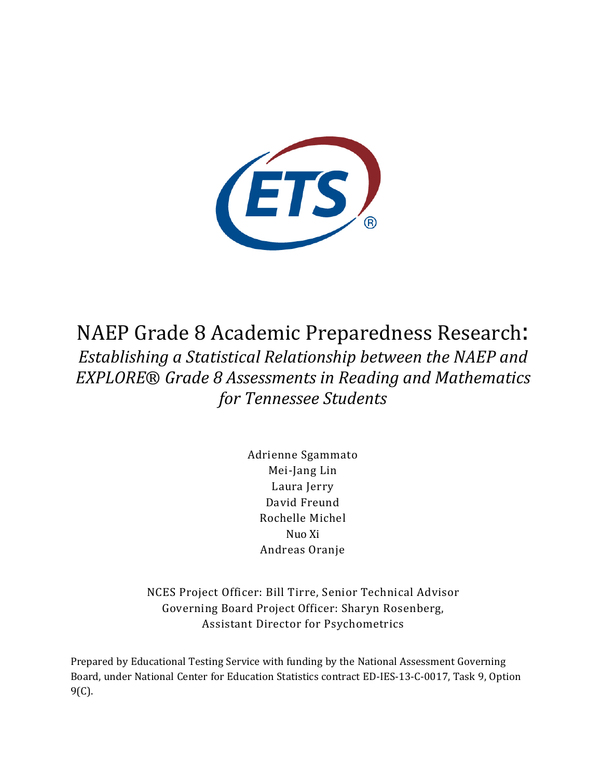

NAEP Grade 8 Academic Preparedness Research: *Establishing a Statistical Relationship between the NAEP and EXPLORE*® *Grade 8 Assessments in Reading and Mathematics for Tennessee Students*

> Adrienne Sgammato Mei-Jang Lin Laura Jerry David Freund Rochelle Michel Nuo Xi Andreas Oranje

NCES Project Officer: Bill Tirre, Senior Technical Advisor Governing Board Project Officer: Sharyn Rosenberg, Assistant Director for Psychometrics

Prepared by Educational Testing Service with funding by the National Assessment Governing Board, under National Center for Education Statistics contract ED-IES-13-C-0017, Task 9, Option 9(C).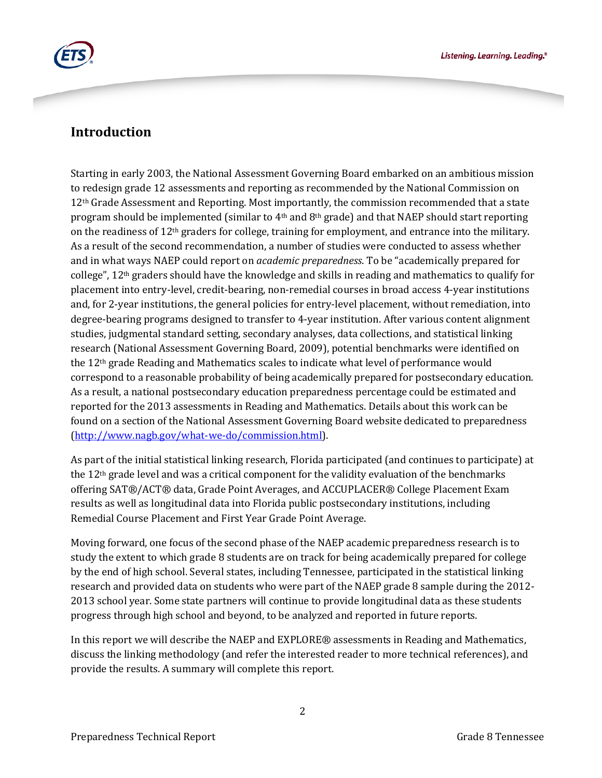

## **Introduction**

Starting in early 2003, the National Assessment Governing Board embarked on an ambitious mission to redesign grade 12 assessments and reporting as recommended by the National Commission on 12<sup>th</sup> Grade Assessment and Reporting. Most importantly, the commission recommended that a state program should be implemented (similar to  $4<sup>th</sup>$  and  $8<sup>th</sup>$  grade) and that NAEP should start reporting on the readiness of 12th graders for college, training for employment, and entrance into the military. As a result of the second recommendation, a number of studies were conducted to assess whether and in what ways NAEP could report on *academic preparedness*. To be "academically prepared for college", 12th graders should have the knowledge and skills in reading and mathematics to qualify for placement into entry-level, credit-bearing, non-remedial courses in broad access 4-year institutions and, for 2-year institutions, the general policies for entry-level placement, without remediation, into degree-bearing programs designed to transfer to 4-year institution. After various content alignment studies, judgmental standard setting, secondary analyses, data collections, and statistical linking research (National Assessment Governing Board, 2009), potential benchmarks were identified on the 12th grade Reading and Mathematics scales to indicate what level of performance would correspond to a reasonable probability of being academically prepared for postsecondary education. As a result, a national postsecondary education preparedness percentage could be estimated and reported for the 2013 assessments in Reading and Mathematics. Details about this work can be found on a section of the National Assessment Governing Board website dedicated to preparedness [\(http://www.nagb.gov/what-we-do/commission.html\)](http://www.nagb.gov/what-we-do/commission.html).

As part of the initial statistical linking research, Florida participated (and continues to participate) at the  $12<sup>th</sup>$  grade level and was a critical component for the validity evaluation of the benchmarks offering SAT®/ACT® data, Grade Point Averages, and ACCUPLACER® College Placement Exam results as well as longitudinal data into Florida public postsecondary institutions, including Remedial Course Placement and First Year Grade Point Average.

Moving forward, one focus of the second phase of the NAEP academic preparedness research is to study the extent to which grade 8 students are on track for being academically prepared for college by the end of high school. Several states, including Tennessee, participated in the statistical linking research and provided data on students who were part of the NAEP grade 8 sample during the 2012- 2013 school year. Some state partners will continue to provide longitudinal data as these students progress through high school and beyond, to be analyzed and reported in future reports.

In this report we will describe the NAEP and EXPLORE® assessments in Reading and Mathematics, discuss the linking methodology (and refer the interested reader to more technical references), and provide the results. A summary will complete this report.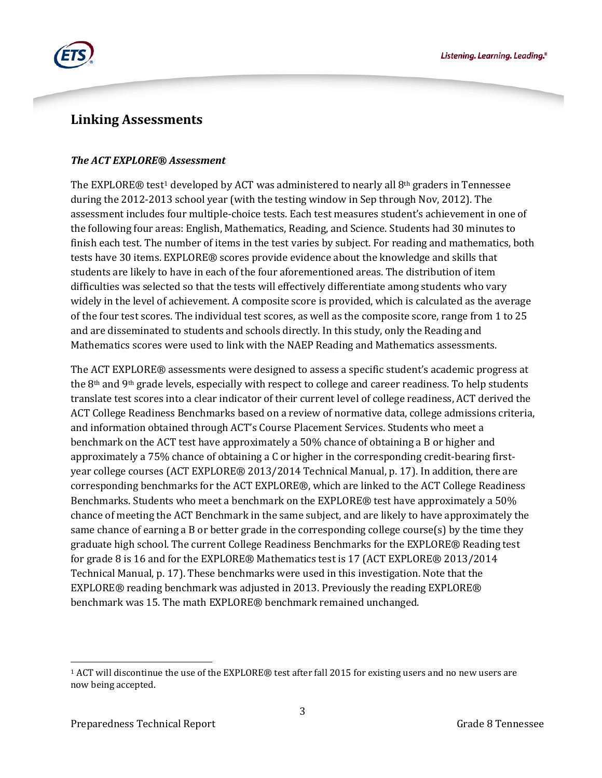



## **Linking Assessments**

### *The ACT EXPLORE® Assessment*

The EXPLORE® test<sup>[1](#page-2-0)</sup> developed by ACT was administered to nearly all  $8<sup>th</sup>$  graders in Tennessee during the 2012-2013 school year (with the testing window in Sep through Nov, 2012). The assessment includes four multiple-choice tests. Each test measures student's achievement in one of the following four areas: English, Mathematics, Reading, and Science. Students had 30 minutes to finish each test. The number of items in the test varies by subject. For reading and mathematics, both tests have 30 items. EXPLORE® scores provide evidence about the knowledge and skills that students are likely to have in each of the four aforementioned areas. The distribution of item difficulties was selected so that the tests will effectively differentiate among students who vary widely in the level of achievement. A composite score is provided, which is calculated as the average of the four test scores. The individual test scores, as well as the composite score, range from 1 to 25 and are disseminated to students and schools directly. In this study, only the Reading and Mathematics scores were used to link with the NAEP Reading and Mathematics assessments.

The ACT EXPLORE® assessments were designed to assess a specific student's academic progress at the 8<sup>th</sup> and 9<sup>th</sup> grade levels, especially with respect to college and career readiness. To help students translate test scores into a clear indicator of their current level of college readiness, ACT derived the ACT College Readiness Benchmarks based on a review of normative data, college admissions criteria, and information obtained through ACT's Course Placement Services. Students who meet a benchmark on the ACT test have approximately a 50% chance of obtaining a B or higher and approximately a 75% chance of obtaining a C or higher in the corresponding credit-bearing firstyear college courses (ACT EXPLORE® 2013/2014 Technical Manual, p. 17). In addition, there are corresponding benchmarks for the ACT EXPLORE®, which are linked to the ACT College Readiness Benchmarks. Students who meet a benchmark on the EXPLORE® test have approximately a 50% chance of meeting the ACT Benchmark in the same subject, and are likely to have approximately the same chance of earning a B or better grade in the corresponding college course(s) by the time they graduate high school. The current College Readiness Benchmarks for the EXPLORE® Reading test for grade 8 is 16 and for the EXPLORE® Mathematics test is 17 (ACT EXPLORE® 2013/2014 Technical Manual, p. 17). These benchmarks were used in this investigation. Note that the EXPLORE® reading benchmark was adjusted in 2013. Previously the reading EXPLORE® benchmark was 15. The math EXPLORE® benchmark remained unchanged.

<span id="page-2-0"></span><sup>1</sup> ACT will discontinue the use of the EXPLORE® test after fall 2015 for existing users and no new users are now being accepted.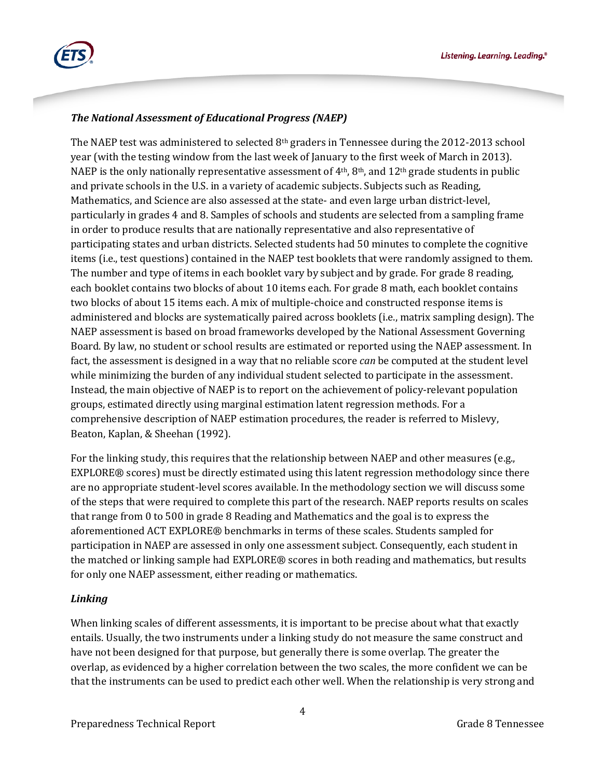

### *The National Assessment of Educational Progress (NAEP)*

The NAEP test was administered to selected 8th graders in Tennessee during the 2012-2013 school year (with the testing window from the last week of January to the first week of March in 2013). NAEP is the only nationally representative assessment of  $4<sup>th</sup>$ ,  $8<sup>th</sup>$ , and  $12<sup>th</sup>$  grade students in public and private schools in the U.S. in a variety of academic subjects. Subjects such as Reading, Mathematics, and Science are also assessed at the state- and even large urban district-level, particularly in grades 4 and 8. Samples of schools and students are selected from a sampling frame in order to produce results that are nationally representative and also representative of participating states and urban districts. Selected students had 50 minutes to complete the cognitive items (i.e., test questions) contained in the NAEP test booklets that were randomly assigned to them. The number and type of items in each booklet vary by subject and by grade. For grade 8 reading, each booklet contains two blocks of about 10 items each. For grade 8 math, each booklet contains two blocks of about 15 items each. A mix of multiple-choice and constructed response items is administered and blocks are systematically paired across booklets (i.e., matrix sampling design). The NAEP assessment is based on broad frameworks developed by the National Assessment Governing Board. By law, no student or school results are estimated or reported using the NAEP assessment. In fact, the assessment is designed in a way that no reliable score *can* be computed at the student level while minimizing the burden of any individual student selected to participate in the assessment. Instead, the main objective of NAEP is to report on the achievement of policy-relevant population groups, estimated directly using marginal estimation latent regression methods. For a comprehensive description of NAEP estimation procedures, the reader is referred to Mislevy, Beaton, Kaplan, & Sheehan (1992).

For the linking study, this requires that the relationship between NAEP and other measures (e.g., EXPLORE® scores) must be directly estimated using this latent regression methodology since there are no appropriate student-level scores available. In the methodology section we will discuss some of the steps that were required to complete this part of the research. NAEP reports results on scales that range from 0 to 500 in grade 8 Reading and Mathematics and the goal is to express the aforementioned ACT EXPLORE® benchmarks in terms of these scales. Students sampled for participation in NAEP are assessed in only one assessment subject. Consequently, each student in the matched or linking sample had EXPLORE® scores in both reading and mathematics, but results for only one NAEP assessment, either reading or mathematics.

### *Linking*

When linking scales of different assessments, it is important to be precise about what that exactly entails. Usually, the two instruments under a linking study do not measure the same construct and have not been designed for that purpose, but generally there is some overlap. The greater the overlap, as evidenced by a higher correlation between the two scales, the more confident we can be that the instruments can be used to predict each other well. When the relationship is very strong and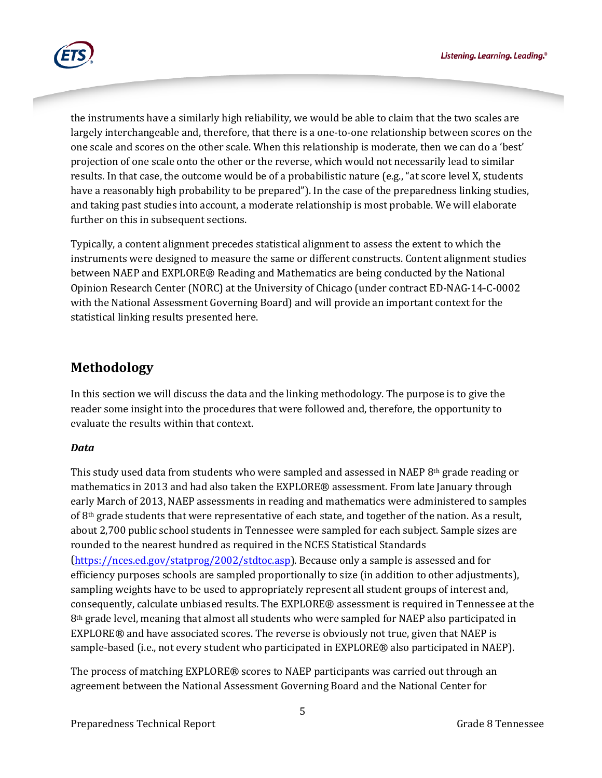

the instruments have a similarly high reliability, we would be able to claim that the two scales are largely interchangeable and, therefore, that there is a one-to-one relationship between scores on the one scale and scores on the other scale. When this relationship is moderate, then we can do a 'best' projection of one scale onto the other or the reverse, which would not necessarily lead to similar results. In that case, the outcome would be of a probabilistic nature (e.g., "at score level X, students have a reasonably high probability to be prepared"). In the case of the preparedness linking studies, and taking past studies into account, a moderate relationship is most probable. We will elaborate further on this in subsequent sections.

Typically, a content alignment precedes statistical alignment to assess the extent to which the instruments were designed to measure the same or different constructs. Content alignment studies between NAEP and EXPLORE® Reading and Mathematics are being conducted by the National Opinion Research Center (NORC) at the University of Chicago (under contract ED-NAG-14-C-0002 with the National Assessment Governing Board) and will provide an important context for the statistical linking results presented here.

# **Methodology**

In this section we will discuss the data and the linking methodology. The purpose is to give the reader some insight into the procedures that were followed and, therefore, the opportunity to evaluate the results within that context.

### *Data*

This study used data from students who were sampled and assessed in NAEP  $8<sup>th</sup>$  grade reading or mathematics in 2013 and had also taken the EXPLORE® assessment. From late January through early March of 2013, NAEP assessments in reading and mathematics were administered to samples of 8th grade students that were representative of each state, and together of the nation. As a result, about 2,700 public school students in Tennessee were sampled for each subject. Sample sizes are rounded to the nearest hundred as required in the NCES Statistical Standards

(https://nces.ed.gov/statprog/2002/stdtoc.asp). Because only a sample is assessed and for [efficiency purposes schools are sampled proport](https://nces.ed.gov/statprog/2002/stdtoc.asp)ionally to size (in addition to other adjustments), sampling weights have to be used to appropriately represent all student groups of interest and, consequently, calculate unbiased results. The EXPLORE® assessment is required in Tennessee at the 8th grade level, meaning that almost all students who were sampled for NAEP also participated in EXPLORE® and have associated scores. The reverse is obviously not true, given that NAEP is sample-based (i.e., not every student who participated in EXPLORE® also participated in NAEP).

The process of matching EXPLORE® scores to NAEP participants was carried out through an agreement between the National Assessment Governing Board and the National Center for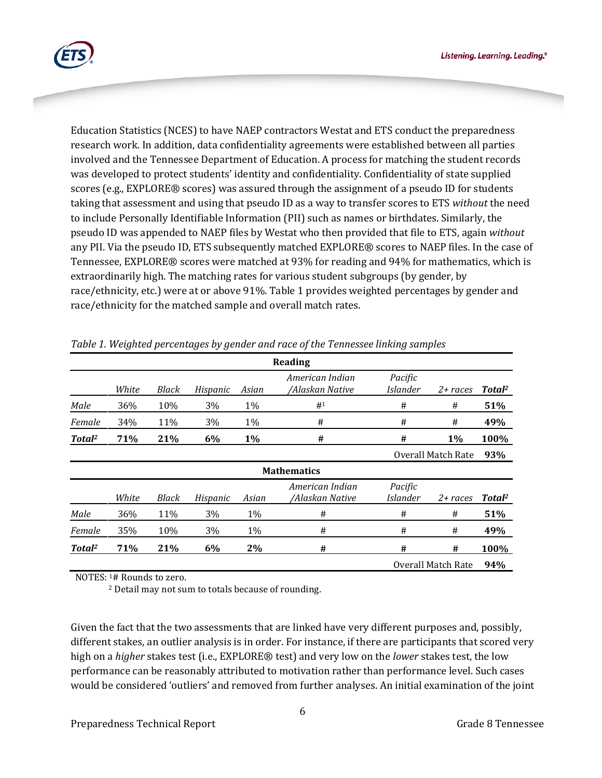

Education Statistics (NCES) to have NAEP contractors Westat and ETS conduct the preparedness research work. In addition, data confidentiality agreements were established between all parties involved and the Tennessee Department of Education. A process for matching the student records was developed to protect students' identity and confidentiality. Confidentiality of state supplied scores (e.g., EXPLORE® scores) was assured through the assignment of a pseudo ID for students taking that assessment and using that pseudo ID as a way to transfer scores to ETS *without* the need to include Personally Identifiable Information (PII) such as names or birthdates. Similarly, the pseudo ID was appended to NAEP files by Westat who then provided that file to ETS, again *without*  any PII. Via the pseudo ID, ETS subsequently matched EXPLORE® scores to NAEP files. In the case of Tennessee, EXPLORE® scores were matched at 93% for reading and 94% for mathematics, which is extraordinarily high. The matching rates for various student subgroups (by gender, by race/ethnicity, etc.) were at or above 91%. Table 1 provides weighted percentages by gender and race/ethnicity for the matched sample and overall match rates.

| Reading                   |       |       |          |       |                                    |                            |                    |                    |  |
|---------------------------|-------|-------|----------|-------|------------------------------------|----------------------------|--------------------|--------------------|--|
|                           | White | Black | Hispanic | Asian | American Indian<br>/Alaskan Native | Pacific<br><i>Islander</i> | $2 + races$        | Total <sup>2</sup> |  |
| Male                      | 36%   | 10%   | 3%       | 1%    | #1                                 | #                          | #                  | 51%                |  |
| Female                    | 34%   | 11%   | 3%       | 1%    | #                                  | #                          | #                  | 49%                |  |
| Total <sup>2</sup>        | 71%   | 21%   | 6%       | 1%    | #                                  | #                          | 1%                 | 100%               |  |
|                           |       |       |          |       |                                    |                            | Overall Match Rate |                    |  |
| 93%<br><b>Mathematics</b> |       |       |          |       |                                    |                            |                    |                    |  |
|                           | White | Black | Hispanic | Asian | American Indian<br>/Alaskan Native | Pacific<br><i>Islander</i> | $2 + races$        | Total <sup>2</sup> |  |
| Male                      | 36%   | 11%   | 3%       | $1\%$ | #                                  | #                          | #                  | 51%                |  |
| Female                    | 35%   | 10%   | 3%       | 1%    | #                                  | #                          | #                  | 49%                |  |
| Total <sup>2</sup>        | 71%   | 21%   | 6%       | 2%    | #                                  | #                          | #                  | 100%               |  |
|                           |       |       |          |       |                                    | Overall Match Rate<br>94%  |                    |                    |  |

*Table 1. Weighted percentages by gender and race of the Tennessee linking samples*

NOTES: 1# Rounds to zero.

<sup>2</sup> Detail may not sum to totals because of rounding.

Given the fact that the two assessments that are linked have very different purposes and, possibly, different stakes, an outlier analysis is in order. For instance, if there are participants that scored very high on a *higher* stakes test (i.e., EXPLORE® test) and very low on the *lower* stakes test, the low performance can be reasonably attributed to motivation rather than performance level. Such cases would be considered 'outliers' and removed from further analyses. An initial examination of the joint

6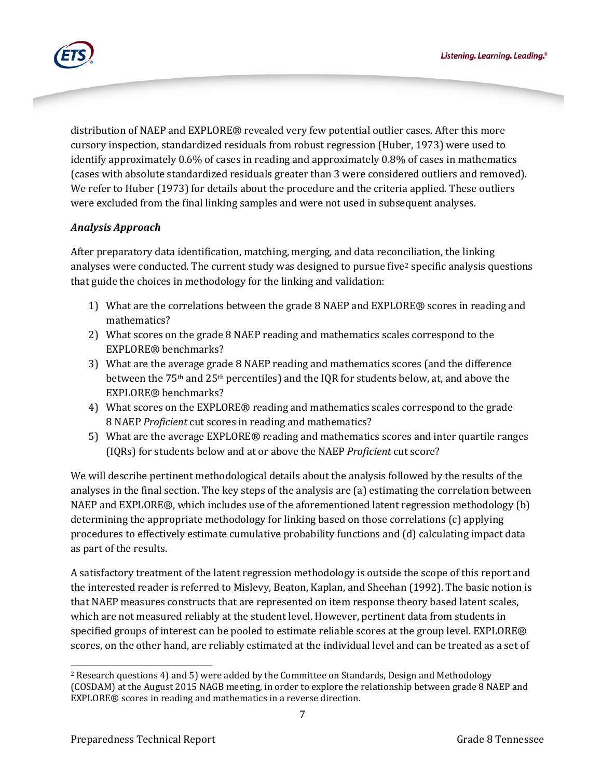

distribution of NAEP and EXPLORE® revealed very few potential outlier cases. After this more cursory inspection, standardized residuals from robust regression (Huber, 1973) were used to identify approximately 0.6% of cases in reading and approximately 0.8% of cases in mathematics (cases with absolute standardized residuals greater than 3 were considered outliers and removed). We refer to Huber (1973) for details about the procedure and the criteria applied. These outliers were excluded from the final linking samples and were not used in subsequent analyses.

### *Analysis Approach*

After preparatory data identification, matching, merging, and data reconciliation, the linking analyses were conducted. The current study was designed to pursue five<sup>[2](#page-6-0)</sup> specific analysis questions that guide the choices in methodology for the linking and validation:

- 1) What are the correlations between the grade 8 NAEP and EXPLORE® scores in reading and mathematics?
- 2) What scores on the grade 8 NAEP reading and mathematics scales correspond to the EXPLORE® benchmarks?
- 3) What are the average grade 8 NAEP reading and mathematics scores (and the difference between the 75th and 25th percentiles) and the IQR for students below, at, and above the EXPLORE® benchmarks?
- 4) What scores on the EXPLORE® reading and mathematics scales correspond to the grade 8 NAEP *Proficient* cut scores in reading and mathematics?
- 5) What are the average EXPLORE® reading and mathematics scores and inter quartile ranges (IQRs) for students below and at or above the NAEP *Proficient* cut score?

We will describe pertinent methodological details about the analysis followed by the results of the analyses in the final section. The key steps of the analysis are (a) estimating the correlation between NAEP and EXPLORE®, which includes use of the aforementioned latent regression methodology (b) determining the appropriate methodology for linking based on those correlations (c) applying procedures to effectively estimate cumulative probability functions and (d) calculating impact data as part of the results.

A satisfactory treatment of the latent regression methodology is outside the scope of this report and the interested reader is referred to Mislevy, Beaton, Kaplan, and Sheehan (1992). The basic notion is that NAEP measures constructs that are represented on item response theory based latent scales, which are not measured reliably at the student level. However, pertinent data from students in specified groups of interest can be pooled to estimate reliable scores at the group level. EXPLORE® scores, on the other hand, are reliably estimated at the individual level and can be treated as a set of

<span id="page-6-0"></span> $\overline{\phantom{a}}$ <sup>2</sup> Research questions 4) and 5) were added by the Committee on Standards, Design and Methodology (COSDAM) at the August 2015 NAGB meeting, in order to explore the relationship between grade 8 NAEP and EXPLORE® scores in reading and mathematics in a reverse direction.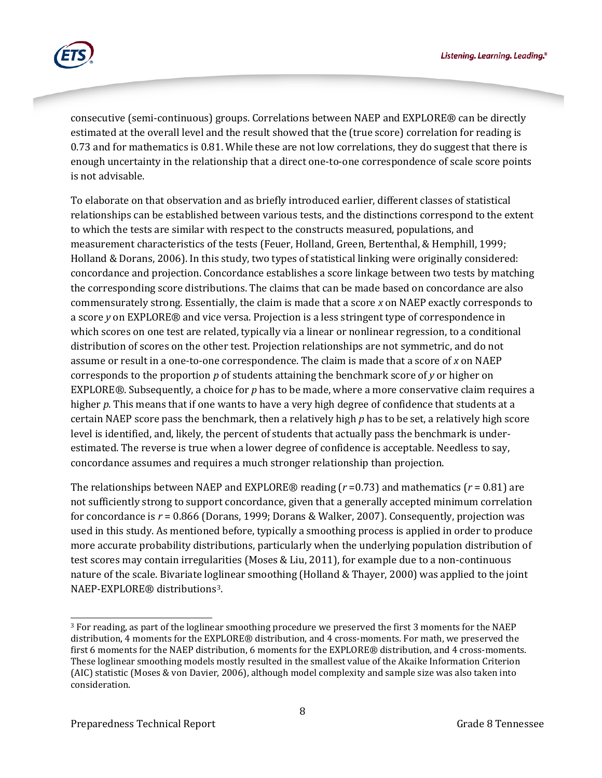

consecutive (semi-continuous) groups. Correlations between NAEP and EXPLORE® can be directly estimated at the overall level and the result showed that the (true score) correlation for reading is 0.73 and for mathematics is 0.81. While these are not low correlations, they do suggest that there is enough uncertainty in the relationship that a direct one-to-one correspondence of scale score points is not advisable.

To elaborate on that observation and as briefly introduced earlier, different classes of statistical relationships can be established between various tests, and the distinctions correspond to the extent to which the tests are similar with respect to the constructs measured, populations, and measurement characteristics of the tests (Feuer, Holland, Green, Bertenthal, & Hemphill, 1999; Holland & Dorans, 2006). In this study, two types of statistical linking were originally considered: concordance and projection. Concordance establishes a score linkage between two tests by matching the corresponding score distributions. The claims that can be made based on concordance are also commensurately strong. Essentially, the claim is made that a score *x* on NAEP exactly corresponds to a score *y* on EXPLORE® and vice versa. Projection is a less stringent type of correspondence in which scores on one test are related, typically via a linear or nonlinear regression, to a conditional distribution of scores on the other test. Projection relationships are not symmetric, and do not assume or result in a one-to-one correspondence. The claim is made that a score of *x* on NAEP corresponds to the proportion *p* of students attaining the benchmark score of *y* or higher on EXPLORE®. Subsequently, a choice for *p* has to be made, where a more conservative claim requires a higher p. This means that if one wants to have a very high degree of confidence that students at a certain NAEP score pass the benchmark, then a relatively high *p* has to be set, a relatively high score level is identified, and, likely, the percent of students that actually pass the benchmark is underestimated. The reverse is true when a lower degree of confidence is acceptable. Needless to say, concordance assumes and requires a much stronger relationship than projection.

The relationships between NAEP and EXPLORE<sup>®</sup> reading ( $r = 0.73$ ) and mathematics ( $r = 0.81$ ) are not sufficiently strong to support concordance, given that a generally accepted minimum correlation for concordance is *r* = 0.866 (Dorans, 1999; Dorans & Walker, 2007). Consequently, projection was used in this study. As mentioned before, typically a smoothing process is applied in order to produce more accurate probability distributions, particularly when the underlying population distribution of test scores may contain irregularities (Moses & Liu, 2011), for example due to a non-continuous nature of the scale. Bivariate loglinear smoothing (Holland & Thayer, 2000) was applied to the joint NAEP-EXPLORE® distributions[3.](#page-7-0)

<span id="page-7-0"></span><sup>3</sup> For reading, as part of the loglinear smoothing procedure we preserved the first 3 moments for the NAEP distribution, 4 moments for the EXPLORE® distribution, and 4 cross-moments. For math, we preserved the first 6 moments for the NAEP distribution, 6 moments for the EXPLORE® distribution, and 4 cross-moments. These loglinear smoothing models mostly resulted in the smallest value of the Akaike Information Criterion (AIC) statistic (Moses & von Davier, 2006), although model complexity and sample size was also taken into consideration.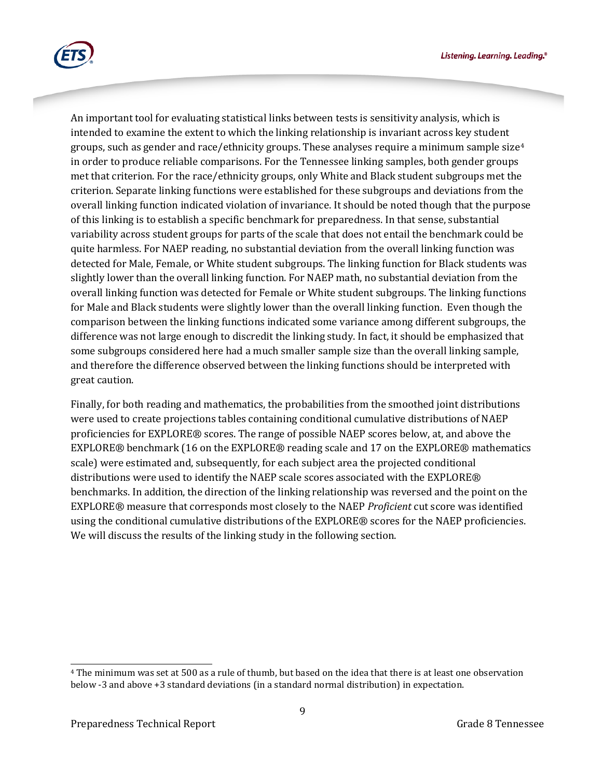Listening. Learning. Leading.<sup>®</sup>



An important tool for evaluating statistical links between tests is sensitivity analysis, which is intended to examine the extent to which the linking relationship is invariant across key student groups, such as gender and race/ethnicity groups. These analyses require a minimum sample size $4$ in order to produce reliable comparisons. For the Tennessee linking samples, both gender groups met that criterion. For the race/ethnicity groups, only White and Black student subgroups met the criterion. Separate linking functions were established for these subgroups and deviations from the overall linking function indicated violation of invariance. It should be noted though that the purpose of this linking is to establish a specific benchmark for preparedness. In that sense, substantial variability across student groups for parts of the scale that does not entail the benchmark could be quite harmless. For NAEP reading, no substantial deviation from the overall linking function was detected for Male, Female, or White student subgroups. The linking function for Black students was slightly lower than the overall linking function. For NAEP math, no substantial deviation from the overall linking function was detected for Female or White student subgroups. The linking functions for Male and Black students were slightly lower than the overall linking function. Even though the comparison between the linking functions indicated some variance among different subgroups, the difference was not large enough to discredit the linking study. In fact, it should be emphasized that some subgroups considered here had a much smaller sample size than the overall linking sample, and therefore the difference observed between the linking functions should be interpreted with great caution.

Finally, for both reading and mathematics, the probabilities from the smoothed joint distributions were used to create projections tables containing conditional cumulative distributions of NAEP proficiencies for EXPLORE® scores. The range of possible NAEP scores below, at, and above the EXPLORE® benchmark (16 on the EXPLORE® reading scale and 17 on the EXPLORE® mathematics scale) were estimated and, subsequently, for each subject area the projected conditional distributions were used to identify the NAEP scale scores associated with the EXPLORE® benchmarks. In addition, the direction of the linking relationship was reversed and the point on the EXPLORE® measure that corresponds most closely to the NAEP *Proficient* cut score was identified using the conditional cumulative distributions of the EXPLORE® scores for the NAEP proficiencies. We will discuss the results of the linking study in the following section.

<span id="page-8-0"></span><sup>4</sup> The minimum was set at 500 as a rule of thumb, but based on the idea that there is at least one observation below -3 and above +3 standard deviations (in a standard normal distribution) in expectation.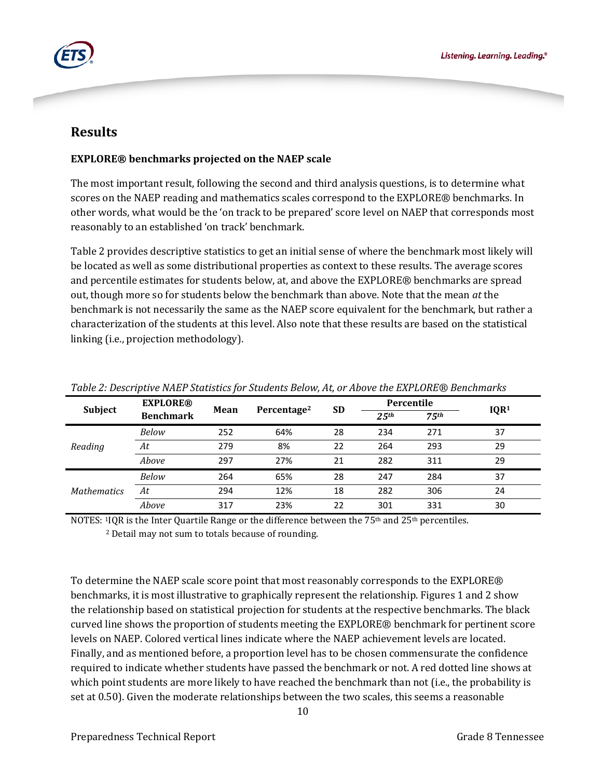

## **Results**

### **EXPLORE® benchmarks projected on the NAEP scale**

The most important result, following the second and third analysis questions, is to determine what scores on the NAEP reading and mathematics scales correspond to the EXPLORE® benchmarks. In other words, what would be the 'on track to be prepared' score level on NAEP that corresponds most reasonably to an established 'on track' benchmark.

Table 2 provides descriptive statistics to get an initial sense of where the benchmark most likely will be located as well as some distributional properties as context to these results. The average scores and percentile estimates for students below, at, and above the EXPLORE® benchmarks are spread out, though more so for students below the benchmark than above. Note that the mean *at* the benchmark is not necessarily the same as the NAEP score equivalent for the benchmark, but rather a characterization of the students at this level. Also note that these results are based on the statistical linking (i.e., projection methodology).

| Subject            | <b>EXPLORE®</b><br><b>Benchmark</b> | Mean | Percentage <sup>2</sup> | <b>SD</b> | Percentile        |                   |                  |
|--------------------|-------------------------------------|------|-------------------------|-----------|-------------------|-------------------|------------------|
|                    |                                     |      |                         |           | 2.5 <sup>th</sup> | 7.5 <sup>th</sup> | IQR <sup>1</sup> |
|                    | Below                               | 252  | 64%                     | 28        | 234               | 271               | 37               |
| Reading            | At                                  | 279  | 8%                      | 22        | 264               | 293               | 29               |
|                    | Above                               | 297  | 27%                     | 21        | 282               | 311               | 29               |
|                    | Below                               | 264  | 65%                     | 28        | 247               | 284               | 37               |
| <b>Mathematics</b> | At                                  | 294  | 12%                     | 18        | 282               | 306               | 24               |
|                    | Above                               | 317  | 23%                     | 22        | 301               | 331               | 30               |

*Table 2: Descriptive NAEP Statistics for Students Below, At, or Above the EXPLORE® Benchmarks*

NOTES:  $11QR$  is the Inter Quartile Range or the difference between the 75<sup>th</sup> and 25<sup>th</sup> percentiles.

<sup>2</sup> Detail may not sum to totals because of rounding.

To determine the NAEP scale score point that most reasonably corresponds to the EXPLORE® benchmarks, it is most illustrative to graphically represent the relationship. Figures 1 and 2 show the relationship based on statistical projection for students at the respective benchmarks. The black curved line shows the proportion of students meeting the EXPLORE® benchmark for pertinent score levels on NAEP. Colored vertical lines indicate where the NAEP achievement levels are located. Finally, and as mentioned before, a proportion level has to be chosen commensurate the confidence required to indicate whether students have passed the benchmark or not. A red dotted line shows at which point students are more likely to have reached the benchmark than not (i.e., the probability is set at 0.50). Given the moderate relationships between the two scales, this seems a reasonable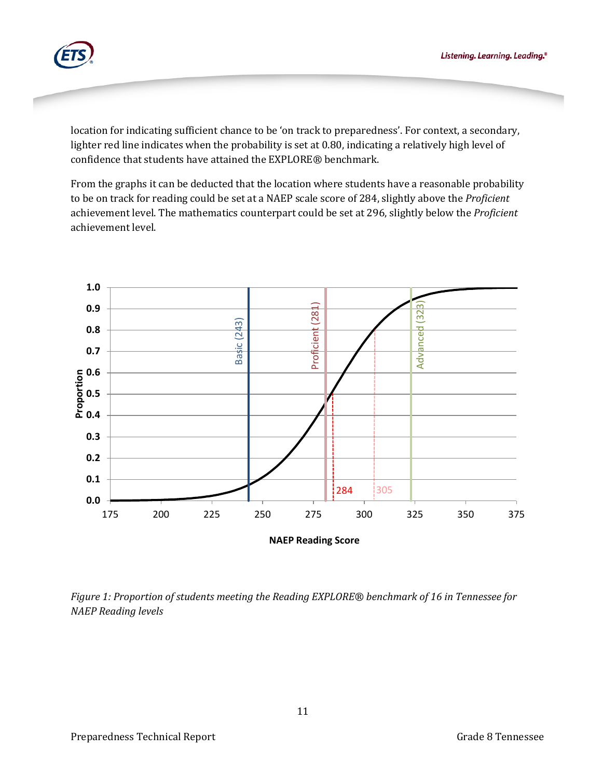

location for indicating sufficient chance to be 'on track to preparedness'. For context, a secondary, lighter red line indicates when the probability is set at 0.80, indicating a relatively high level of confidence that students have attained the EXPLORE® benchmark.

From the graphs it can be deducted that the location where students have a reasonable probability to be on track for reading could be set at a NAEP scale score of 284, slightly above the *Proficient* achievement level. The mathematics counterpart could be set at 296, slightly below the *Proficient* achievement level.



*Figure 1: Proportion of students meeting the Reading EXPLORE® benchmark of 16 in Tennessee for NAEP Reading levels*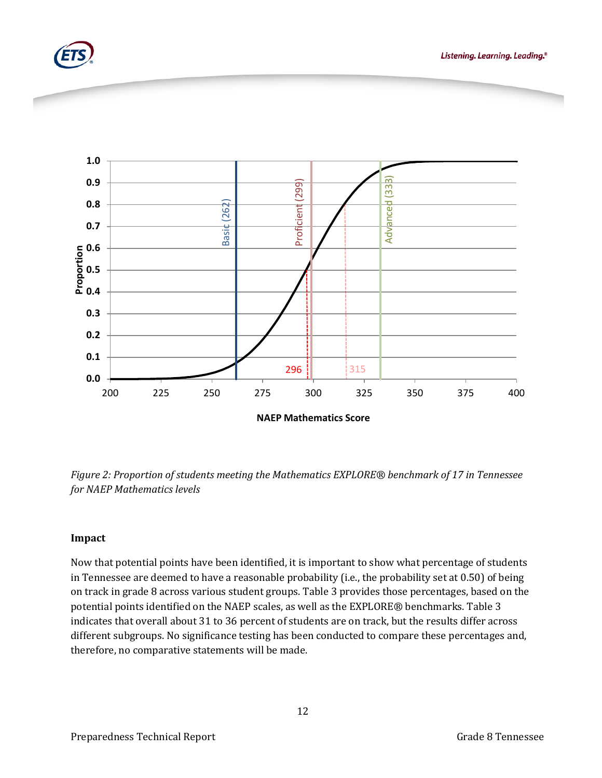



*Figure 2: Proportion of students meeting the Mathematics EXPLORE® benchmark of 17 in Tennessee for NAEP Mathematics levels*

### **Impact**

Now that potential points have been identified, it is important to show what percentage of students in Tennessee are deemed to have a reasonable probability (i.e., the probability set at 0.50) of being on track in grade 8 across various student groups. Table 3 provides those percentages, based on the potential points identified on the NAEP scales, as well as the EXPLORE*®* benchmarks. Table 3 indicates that overall about 31 to 36 percent of students are on track, but the results differ across different subgroups. No significance testing has been conducted to compare these percentages and, therefore, no comparative statements will be made.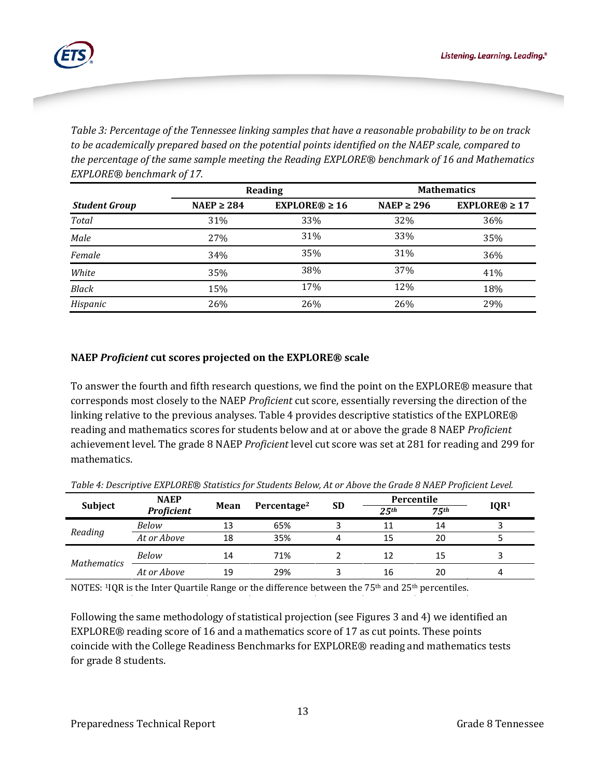

*Table 3: Percentage of the Tennessee linking samples that have a reasonable probability to be on track to be academically prepared based on the potential points identified on the NAEP scale, compared to the percentage of the same sample meeting the Reading EXPLORE® benchmark of 16 and Mathematics EXPLORE® benchmark of 17.*

|                      |                 | Reading            | <b>Mathematics</b> |                    |  |
|----------------------|-----------------|--------------------|--------------------|--------------------|--|
| <b>Student Group</b> | NAEP $\geq$ 284 | EXPLORE® $\geq 16$ | NAEP $\geq$ 296    | $EXPLORE@ \geq 17$ |  |
| Total                | 31%             | 33%                | 32%                | 36%                |  |
| Male                 | 27%             | 31%                | 33%                | 35%                |  |
| Female               | 34%             | 35%                | 31%                | 36%                |  |
| White                | 35%             | 38%                | 37%                | 41%                |  |
| <b>Black</b>         | 15%             | 17%                | 12%                | 18%                |  |
| Hispanic             | 26%             | 26%                | 26%                | 29%                |  |

### **NAEP** *Proficient* **cut scores projected on the EXPLORE® scale**

To answer the fourth and fifth research questions, we find the point on the EXPLORE® measure that corresponds most closely to the NAEP *Proficient* cut score, essentially reversing the direction of the linking relative to the previous analyses. Table 4 provides descriptive statistics of the EXPLORE® reading and mathematics scores for students below and at or above the grade 8 NAEP *Proficient* achievement level. The grade 8 NAEP *Proficient* level cut score was set at 281 for reading and 299 for mathematics.

|                    | <b>NAEP</b>       | Mean | Percentage <sup>2</sup> | <b>SD</b> | Percentile        |                  |                  |
|--------------------|-------------------|------|-------------------------|-----------|-------------------|------------------|------------------|
| <b>Subject</b>     | <b>Proficient</b> |      |                         |           | 2.5 <sup>th</sup> | 75 <sup>th</sup> | IQR <sup>1</sup> |
| Reading            | <b>Below</b>      |      | 65%                     |           |                   | 14               |                  |
|                    | At or Above       | 18   | 35%                     |           | 15                | 20               |                  |
| <b>Mathematics</b> | <b>Below</b>      | 14   | 71%                     |           | 12                | 15               |                  |
|                    | At or Above       | 19   | 29%                     |           | 16                | 20               |                  |

*Table 4: Descriptive EXPLORE*® *Statistics for Students Below, At or Above the Grade 8 NAEP Proficient Level.*

NOTES: <sup>1</sup>IQR is the Inter Quartile Range or the difference between the 75<sup>th</sup> and 25<sup>th</sup> percentiles.

Following the same methodology of statistical projection (see Figures 3 and 4) we identified an EXPLORE® reading score of 16 and a mathematics score of 17 as cut points. These points coincide with the College Readiness Benchmarks for EXPLORE® reading and mathematics tests for grade 8 students.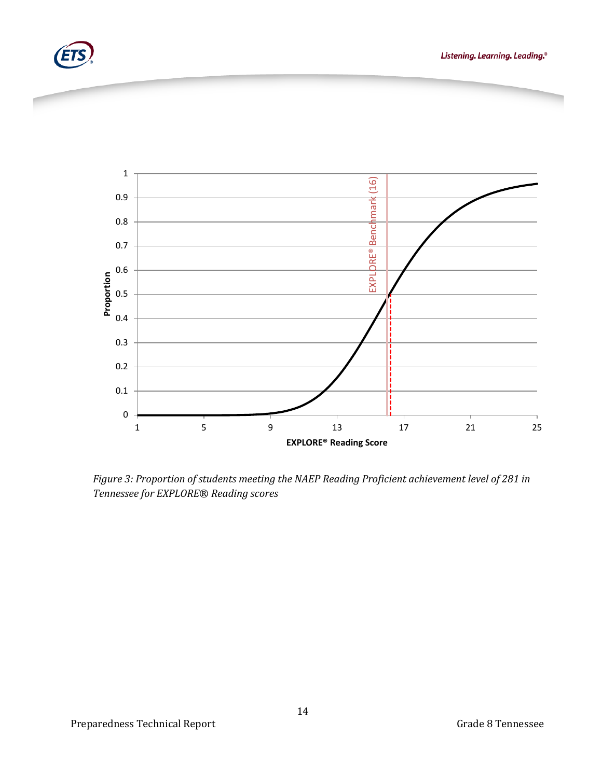



*Figure 3: Proportion of students meeting the NAEP Reading Proficient achievement level of 281 in Tennessee for EXPLORE*® *Reading scores*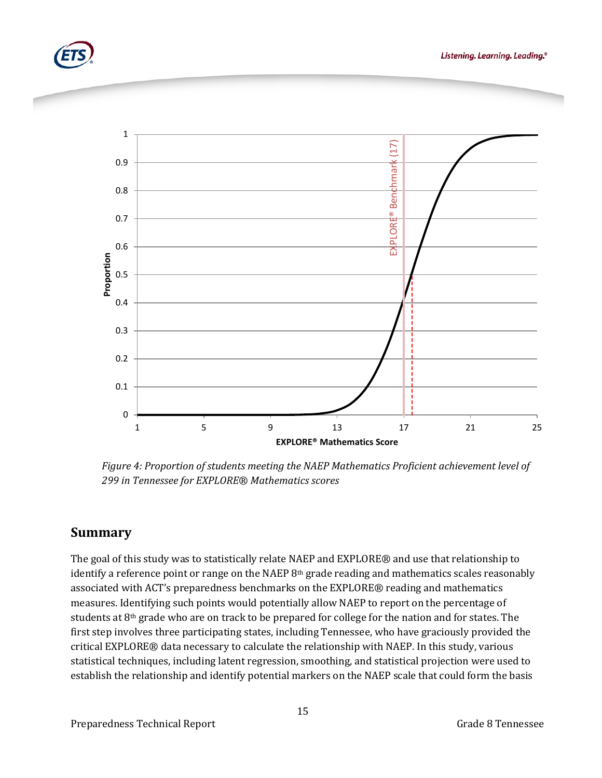





*Figure 4: Proportion of students meeting the NAEP Mathematics Proficient achievement level of 299 in Tennessee for EXPLORE*® *Mathematics scores*

## **Summary**

The goal of this study was to statistically relate NAEP and EXPLORE® and use that relationship to identify a reference point or range on the NAEP  $8<sup>th</sup>$  grade reading and mathematics scales reasonably associated with ACT's preparedness benchmarks on the EXPLORE® reading and mathematics measures. Identifying such points would potentially allow NAEP to report on the percentage of students at 8th grade who are on track to be prepared for college for the nation and for states. The first step involves three participating states, including Tennessee, who have graciously provided the critical EXPLORE® data necessary to calculate the relationship with NAEP. In this study, various statistical techniques, including latent regression, smoothing, and statistical projection were used to establish the relationship and identify potential markers on the NAEP scale that could form the basis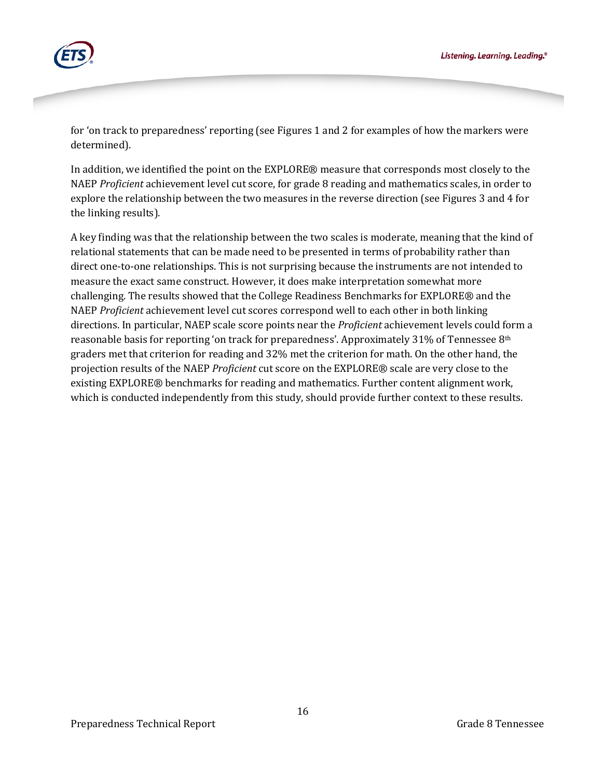

for 'on track to preparedness' reporting (see Figures 1 and 2 for examples of how the markers were determined).

In addition, we identified the point on the EXPLORE® measure that corresponds most closely to the NAEP *Proficient* achievement level cut score, for grade 8 reading and mathematics scales, in order to explore the relationship between the two measures in the reverse direction (see Figures 3 and 4 for the linking results).

A key finding was that the relationship between the two scales is moderate, meaning that the kind of relational statements that can be made need to be presented in terms of probability rather than direct one-to-one relationships. This is not surprising because the instruments are not intended to measure the exact same construct. However, it does make interpretation somewhat more challenging. The results showed that the College Readiness Benchmarks for EXPLORE® and the NAEP *Proficient* achievement level cut scores correspond well to each other in both linking directions. In particular, NAEP scale score points near the *Proficient* achievement levels could form a reasonable basis for reporting 'on track for preparedness'. Approximately 31% of Tennessee 8<sup>th</sup> graders met that criterion for reading and 32% met the criterion for math. On the other hand, the projection results of the NAEP *Proficient* cut score on the EXPLORE® scale are very close to the existing EXPLORE® benchmarks for reading and mathematics. Further content alignment work, which is conducted independently from this study, should provide further context to these results.